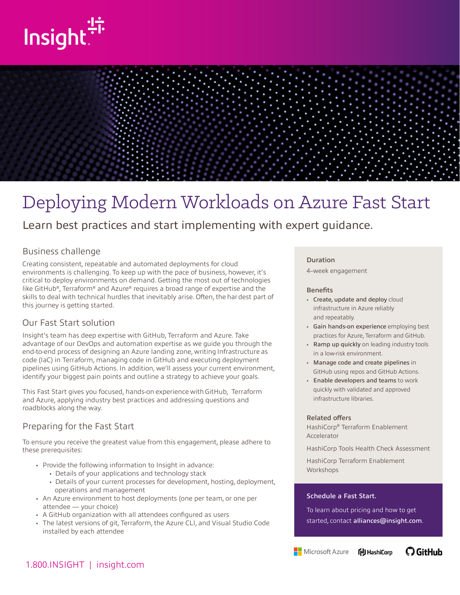



# Deploying Modern Workloads on Azure Fast Start

## Learn best practices and start implementing with expert guidance.

### Business challenge

Creating consistent, repeatable and automated deployments for cloud environments is challenging. To keep up with the pace of business, however, it's critical to deploy environments on demand. Getting the most out of technologies like GitHub®, Terraform® and Azure® requires a broad range of expertise and the skills to deal with technical hurdles that inevitably arise. Often, the hardest part of this journey is getting started.

### Our Fast Start solution

Insight's team has deep expertise with GitHub, Terraform and Azure. Take advantage of our DevOps and automation expertise as we guide you through the end-to-end process of designing an Azure landing zone, writing Infrastructure as code (IaC) in Terraform, managing code in GitHub and executing deployment pipelines using GitHub Actions. In addition, we'll assess your current environment, identify your biggest pain points and outline a strategy to achieve your goals.

This Fast Start gives you focused, hands-on experience with GitHub, Terraform and Azure, applying industry best practices and addressing questions and roadblocks along the way.

### Preparing for the Fast Start

To ensure you receive the greatest value from this engagement, please adhere to these prerequisites:

- Provide the following information to Insight in advance:
	- Details of your applications and technology stack
	- Details of your current processes for development, hosting, deployment, operations and management
- An Azure environment to host deployments (one per team, or one per attendee — your choice)
- A GitHub organization with all attendees configured as users
- The latest versions of git, Terraform, the Azure CLI, and Visual Studio Code installed by each attendee

### Duration

4–week engagement

### **Benefits**

- Create, update and deploy cloud infrastructure in Azure reliably and repeatably.
- Gain hands-on experience employing best practices for Azure, Terraform and GitHub.
- Ramp up quickly on leading industry tools in a low-risk environment.
- Manage code and create pipelines in GitHub using repos and GitHub Actions.
- Enable developers and teams to work quickly with validated and approved infrastructure libraries.

#### Related offers

HashiCorp® Terraform Enablement Accelerator

HashiCorp Tools Health Check Assessment

HashiCorp Terraform Enablement Workshops

### Schedule a Fast Start.

To learn about pricing and how to get started, contact alliances@insight.com.

Microsoft Azure **什** HashiCorp